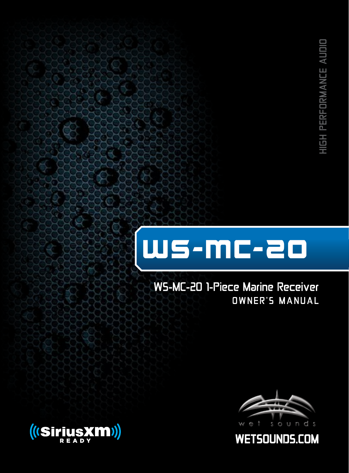# WS-MC-2O

WS-MC-20 1-Piece Marine Receiver OWNER'S MANUAL





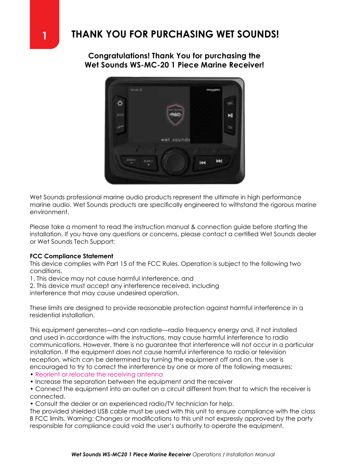**Congratulations! Thank You for purchasing the Wet Sounds WS-MC-20 1 Piece Marine Receiver!**



Wet Sounds professional marine audio products represent the ultimate in high performance marine audio. Wet Sounds products are specifically engineered to withstand the rigorous marine environment.

Please take a moment to read the instruction manual & connection guide before starting the installation. If you have any questions or concerns, please contact a certified Wet Sounds dealer or Wet Sounds Tech Support:

#### **FCC Compliance Statement**

This device complies with Part 15 of the FCC Rules. Operation is subject to the following two conditions.

- 1. This device may not cause harmful interference, and
- 2. This device must accept any interference received, including

interference that may cause undesired operation.

These limits are designed to provide reasonable protection against harmful interference in a residential installation.

This equipment generates—and can radiate—radio frequency energy and, if not installed and used in accordance with the instructions, may cause harmful interference to radio communications. However, there is no guarantee that interference will not occur in a particular installation. If the equipment does not cause harmful interference to radio or television reception, which can be determined by turning the equipment off and on, the user is encouraged to try to correct the interference by one or more of the following measures:

- Reorient or relocate the receiving antenna
- Increase the separation between the equipment and the receiver
- Connect the equipment into an outlet on a circuit different from that to which the receiver is connected.
- Consult the dealer or an experienced radio/TV technician for help.

The provided shielded USB cable must be used with this unit to ensure compliance with the class B FCC limits. Warning: Changes or modifications to this unit not expressly approved by the party responsible for compliance could void the user's authority to operate the equipment.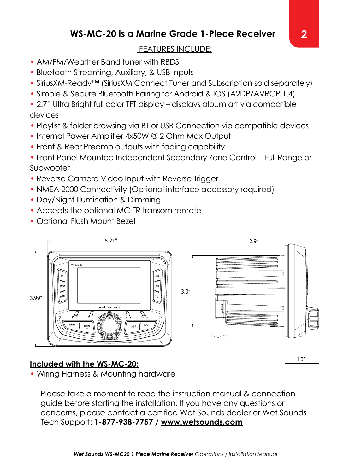### **WS-MC-20 is a Marine Grade 1-Piece Receiver**

#### FEATURES INCLUDE:

- AM/FM/Weather Band tuner with RBDS
- Bluetooth Streaming, Auxiliary, & USB Inputs
- SiriusXM-Ready™ (SiriusXM Connect Tuner and Subscription sold separately)
- Simple & Secure Bluetooth Pairing for Android & IOS (A2DP/AVRCP 1.4)

• 2.7" Ultra Bright full color TFT display – displays album art via compatible devices

- Playlist & folder browsing via BT or USB Connection via compatible devices
- Internal Power Amplifier 4x50W @ 2 Ohm Max Output
- Front & Rear Preamp outputs with fading capability

• Front Panel Mounted Independent Secondary Zone Control – Full Range or Subwoofer

- Reverse Camera Video Input with Reverse Trigger
- NMEA 2000 Connectivity (Optional interface accessory required)
- Day/Night Illumination & Dimming
- Accepts the optional MC-TR transom remote
- Optional Flush Mount Bezel



#### **Included with the WS-MC-20:**

• Wiring Harness & Mounting hardware

Please take a moment to read the instruction manual & connection guide before starting the installation. If you have any questions or concerns, please contact a certified Wet Sounds dealer or Wet Sounds Tech Support: **1-877-938-7757 / www.wetsounds.com**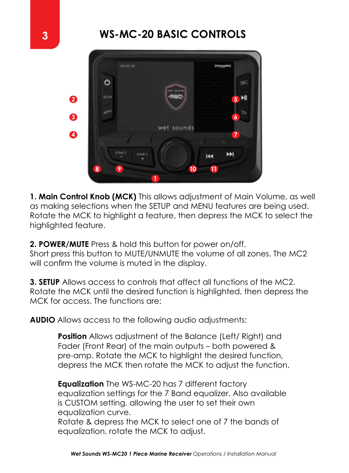

**1. Main Control Knob (MCK)** This allows adjustment of Main Volume, as well as making selections when the SETUP and MENU features are being used. Rotate the MCK to highlight a feature, then depress the MCK to select the highlighted feature.

**2. POWER/MUTE** Press & hold this button for power on/off. Short press this button to MUTE/UNMUTE the volume of all zones. The MC2 will confirm the volume is muted in the display.

**3. SETUP** Allows access to controls that affect all functions of the MC2. Rotate the MCK until the desired function is highlighted, then depress the MCK for access. The functions are:

**AUDIO** Allows access to the following audio adjustments:

**Position** Allows adjustment of the Balance (Left/ Right) and Fader (Front Rear) of the main outputs – both powered & pre-amp. Rotate the MCK to highlight the desired function, depress the MCK then rotate the MCK to adjust the function.

**Equalization** The WS-MC-20 has 7 different factory equalization settings for the 7 Band equalizer. Also available is CUSTOM setting, allowing the user to set their own equalization curve.

Rotate & depress the MCK to select one of 7 the bands of equalization, rotate the MCK to adjust.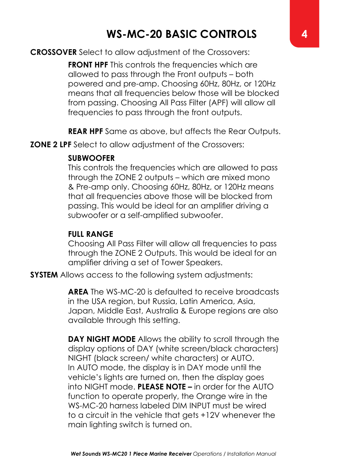#### **CROSSOVER** Select to allow adjustment of the Crossovers:

**FRONT HPF** This controls the frequencies which are allowed to pass through the Front outputs – both powered and pre-amp. Choosing 60Hz, 80Hz, or 120Hz means that all frequencies below those will be blocked from passing. Choosing All Pass Filter (APF) will allow all frequencies to pass through the front outputs.

**REAR HPF** Same as above, but affects the Rear Outputs.

**ZONE 2 LPF** Select to allow adjustment of the Crossovers:

#### **SUBWOOFER**

This controls the frequencies which are allowed to pass through the ZONE 2 outputs – which are mixed mono & Pre-amp only. Choosing 60Hz, 80Hz, or 120Hz means that all frequencies above those will be blocked from passing. This would be ideal for an amplifier driving a subwoofer or a self-amplified subwoofer.

#### **FULL RANGE**

Choosing All Pass Filter will allow all frequencies to pass through the ZONE 2 Outputs. This would be ideal for an amplifier driving a set of Tower Speakers.

**SYSTEM** Allows access to the following system adjustments:

**AREA** The WS-MC-20 is defaulted to receive broadcasts in the USA region, but Russia, Latin America, Asia, Japan, Middle East, Australia & Europe regions are also available through this setting.

**DAY NIGHT MODE** Allows the ability to scroll through the display options of DAY (white screen/black characters) NIGHT (black screen/ white characters) or AUTO. In AUTO mode, the display is in DAY mode until the vehicle's lights are turned on, then the display goes into NIGHT mode. **PLEASE NOTE –** in order for the AUTO function to operate properly, the Orange wire in the WS-MC-20 harness labeled DIM INPUT must be wired to a circuit in the vehicle that gets +12V whenever the main lighting switch is turned on.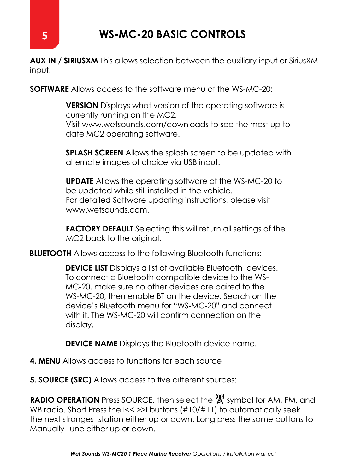**AUX IN / SIRIUSXM** This allows selection between the auxiliary input or SiriusXM input.

**SOFTWARE** Allows access to the software menu of the WS-MC-20:

**VERSION** Displays what version of the operating software is currently running on the MC2. Visit www.wetsounds.com/downloads to see the most up to date MC2 operating software.

**SPLASH SCREEN** Allows the splash screen to be updated with alternate images of choice via USB input.

**UPDATE** Allows the operating software of the WS-MC-20 to be updated while still installed in the vehicle. For detailed Software updating instructions, please visit www.wetsounds.com.

**FACTORY DEFAULT** Selecting this will return all settings of the MC2 back to the original.

**BLUETOOTH** Allows access to the following Bluetooth functions:

**DEVICE LIST** Displays a list of available Bluetooth devices. To connect a Bluetooth compatible device to the WS-MC-20, make sure no other devices are paired to the WS-MC-20, then enable BT on the device. Search on the device's Bluetooth menu for "WS-MC-20" and connect with it. The WS-MC-20 will confirm connection on the display.

**DEVICE NAME** Displays the Bluetooth device name.

- **4. MENU** Allows access to functions for each source
- **5. SOURCE (SRC)** Allows access to five different sources:

**RADIO OPERATION** Press SOURCE, then select the  $\overset{\text{(a)}}{\mathbf{A}}$  symbol for AM, FM, and WB radio. Short Press the  $\leq$  >>I buttons (#10/#11) to automatically seek the next strongest station either up or down. Long press the same buttons to Manually Tune either up or down.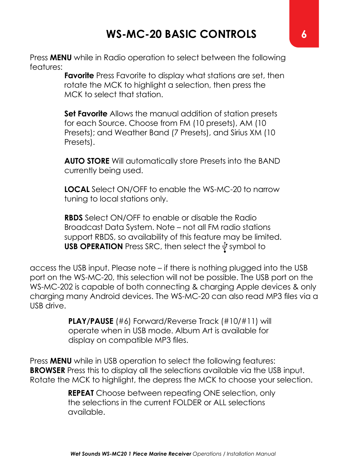Press **MENU** while in Radio operation to select between the following features:

**Favorite** Press Favorite to display what stations are set, then rotate the MCK to highlight a selection, then press the MCK to select that station.

**Set Favorite** Allows the manual addition of station presets for each Source. Choose from FM (10 presets), AM (10 Presets); and Weather Band (7 Presets), and Sirius XM (10 Presets).

**AUTO STORE** Will automatically store Presets into the BAND currently being used.

**LOCAL** Select ON/OFF to enable the WS-MC-20 to narrow tuning to local stations only.

**RBDS** Select ON/OFF to enable or disable the Radio Broadcast Data System. Note – not all FM radio stations support RBDS, so availability of this feature may be limited. **USB OPERATION** Press SRC, then select the  $\dot{\psi}$  symbol to

access the USB input. Please note – if there is nothing plugged into the USB port on the WS-MC-20, this selection will not be possible. The USB port on the WS-MC-202 is capable of both connecting & charging Apple devices & only charging many Android devices. The WS-MC-20 can also read MP3 files via a USB drive.

> **PLAY/PAUSE** (#6) Forward/Reverse Track (#10/#11) will operate when in USB mode. Album Art is available for display on compatible MP3 files.

Press **MENU** while in USB operation to select the following features: **BROWSER** Press this to display all the selections available via the USB input. Rotate the MCK to highlight, the depress the MCK to choose your selection.

> **REPEAT** Choose between repeating ONE selection, only the selections in the current FOLDER or ALL selections available.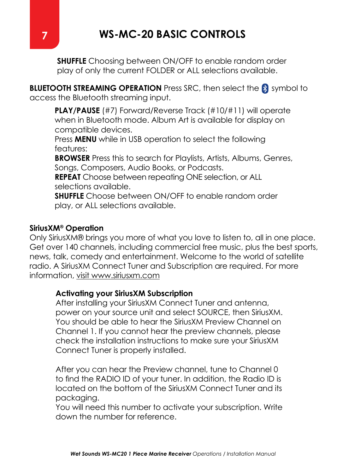**SHUFFLE** Choosing between ON/OFF to enable random order play of only the current FOLDER or ALL selections available.

**BLUETOOTH STREAMING OPERATION** Press SRC, then select the **S** symbol to access the Bluetooth streaming input.

**PLAY/PAUSE** (#7) Forward/Reverse Track (#10/#11) will operate when in Bluetooth mode. Album Art is available for display on compatible devices.

Press **MENU** while in USB operation to select the following features:

**BROWSER** Press this to search for Playlists, Artists, Albums, Genres, Songs, Composers, Audio Books, or Podcasts.

**REPEAT** Choose between repeating ONE selection, or ALL selections available.

**SHUFFLE** Choose between ON/OFF to enable random order play, or ALL selections available.

#### **SiriusXM® Operation**

Only SiriusXM® brings you more of what you love to listen to, all in one place. Get over 140 channels, including commercial free music, plus the best sports, news, talk, comedy and entertainment. Welcome to the world of satellite radio. A SiriusXM Connect Tuner and Subscription are required. For more information, visit www.siriusxm.com

#### **Activating your SiriusXM Subscription**

After installing your SiriusXM Connect Tuner and antenna, power on your source unit and select SOURCE, then SiriusXM. You should be able to hear the SiriusXM Preview Channel on Channel 1. If you cannot hear the preview channels, please check the installation instructions to make sure your SiriusXM Connect Tuner is properly installed.

After you can hear the Preview channel, tune to Channel 0 to find the RADIO ID of your tuner. In addition, the Radio ID is located on the bottom of the SiriusXM Connect Tuner and its packaging.

You will need this number to activate your subscription. Write down the number for reference.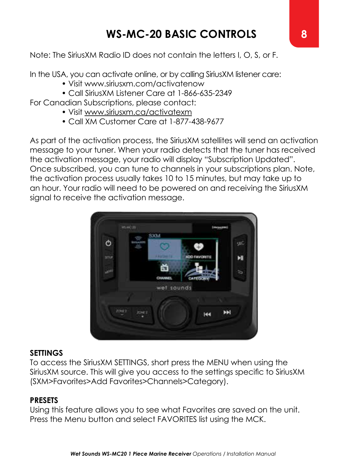Note: The SiriusXM Radio ID does not contain the letters I, O, S, or F.

In the USA, you can activate online, or by calling SiriusXM listener care:

- Visit www.siriusxm.com/activatenow
- Call SiriusXM Listener Care at 1-866-635-2349

For Canadian Subscriptions, please contact:

- Visit www.siriusxm.ca/activatexm
- Call XM Customer Care at 1-877-438-9677

As part of the activation process, the SiriusXM satellites will send an activation message to your tuner. When your radio detects that the tuner has received the activation message, your radio will display "Subscription Updated". Once subscribed, you can tune to channels in your subscriptions plan. Note, the activation process usually takes 10 to 15 minutes, but may take up to an hour. Your radio will need to be powered on and receiving the SiriusXM signal to receive the activation message.



#### **SETTINGS**

To access the SiriusXM SETTINGS, short press the MENU when using the SiriusXM source. This will give you access to the settings specific to SiriusXM (SXM>Favorites>Add Favorites>Channels>Category).

#### **PRESETS**

Using this feature allows you to see what Favorites are saved on the unit. Press the Menu button and select FAVORITES list using the MCK.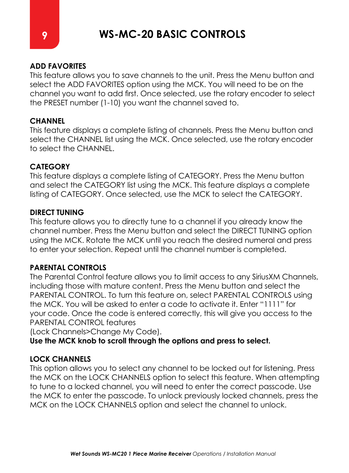#### **ADD FAVORITES**

This feature allows you to save channels to the unit. Press the Menu button and select the ADD FAVORITES option using the MCK. You will need to be on the channel you want to add first. Once selected, use the rotary encoder to select the PRESET number (1-10) you want the channel saved to.

#### **CHANNEL**

This feature displays a complete listing of channels. Press the Menu button and select the CHANNEL list using the MCK. Once selected, use the rotary encoder to select the CHANNEL.

#### **CATEGORY**

This feature displays a complete listing of CATEGORY. Press the Menu button and select the CATEGORY list using the MCK. This feature displays a complete listing of CATEGORY. Once selected, use the MCK to select the CATEGORY.

#### **DIRECT TUNING**

This feature allows you to directly tune to a channel if you already know the channel number. Press the Menu button and select the DIRECT TUNING option using the MCK. Rotate the MCK until you reach the desired numeral and press to enter your selection. Repeat until the channel number is completed.

#### **PARENTAL CONTROLS**

The Parental Control feature allows you to limit access to any SiriusXM Channels, including those with mature content. Press the Menu button and select the PARENTAL CONTROL. To turn this feature on, select PARENTAL CONTROLS using the MCK. You will be asked to enter a code to activate it. Enter "1111" for your code. Once the code is entered correctly, this will give you access to the PARENTAL CONTROL features

(Lock Channels>Change My Code).

**Use the MCK knob to scroll through the options and press to select.**

#### **LOCK CHANNELS**

This option allows you to select any channel to be locked out for listening. Press the MCK on the LOCK CHANNELS option to select this feature. When attempting to tune to a locked channel, you will need to enter the correct passcode. Use the MCK to enter the passcode. To unlock previously locked channels, press the MCK on the LOCK CHANNELS option and select the channel to unlock.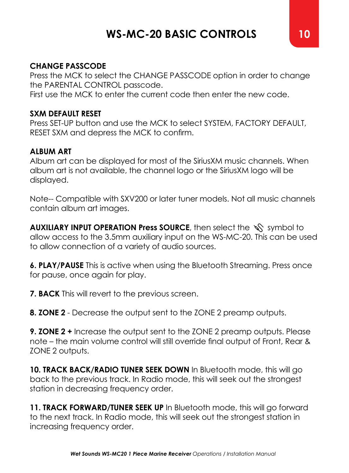#### **CHANGE PASSCODE**

Press the MCK to select the CHANGE PASSCODE option in order to change the PARENTAL CONTROL passcode.

First use the MCK to enter the current code then enter the new code.

#### **SXM DEFAULT RESET**

Press SET-UP button and use the MCK to select SYSTEM, FACTORY DEFAULT, RESET SXM and depress the MCK to confirm.

#### **ALBUM ART**

Album art can be displayed for most of the SiriusXM music channels. When album art is not available, the channel logo or the SiriusXM logo will be displayed.

Note-- Compatible with SXV200 or later tuner models. Not all music channels contain album art images.

**AUXILIARY INPUT OPERATION Press SOURCE**, then select the  $\sqrt{\ }$  symbol to allow access to the 3.5mm auxiliary input on the WS-MC-20. This can be used to allow connection of a variety of audio sources.

**6. PLAY/PAUSE** This is active when using the Bluetooth Streaming. Press once for pause, once again for play.

**7. BACK** This will revert to the previous screen.

**8. ZONE 2** - Decrease the output sent to the ZONE 2 preamp outputs.

**9. ZONE 2 +** Increase the output sent to the ZONE 2 preamp outputs. Please note – the main volume control will still override final output of Front, Rear & ZONE 2 outputs.

**10. TRACK BACK/RADIO TUNER SEEK DOWN** In Bluetooth mode, this will go back to the previous track. In Radio mode, this will seek out the strongest station in decreasing frequency order.

**11. TRACK FORWARD/TUNER SEEK UP** In Bluetooth mode, this will go forward to the next track. In Radio mode, this will seek out the strongest station in increasing frequency order.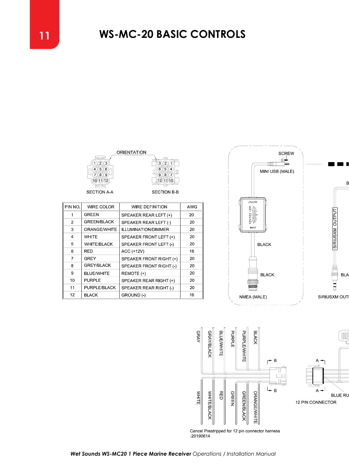





| PIN NO.        | WIRE COLOR         | <b>WIRE DEFINITION</b>     | AWG |
|----------------|--------------------|----------------------------|-----|
|                | <b>GREEN</b>       | SPEAKER REAR LEFT (+)      | 20  |
| $\mathfrak{p}$ | <b>GREEN/BLACK</b> | SPEAKER REAR LEFT (-)      | 20  |
| 3              | ORANGE/WHITE       | <b>ILLUMINATION/DIMMER</b> | 20  |
| 4              | <b>WHITE</b>       | SPEAKER FRONT LEFT (+)     | 20  |
| 5              | <b>WHITE/BLACK</b> | SPEAKER FRONT LEFT (-)     | 20  |
| 6              | <b>RED</b>         | ACC (+12V)                 | 16  |
| $\overline{7}$ | GREY               | SPEAKER FRONT RIGHT (+)    | 20  |
| 8              | <b>GREY/BLACK</b>  | SPEAKER FRONT RIGHT (-)    | 20  |
| 9              | <b>BLUE/WHITE</b>  | REMOTE (+)                 | 20  |
| 10             | PURPLE             | SPEAKER REAR RIGHT (+)     | 20  |
| 11             | PURPLE/BLACK       | SPEAKER REAR RIGHT (.)     | 20  |
| 12             | <b>BLACK</b>       | GROUND (-)                 | 16  |



MI



Cancel Prestripped for 12 pin connector hamess<br>-20190614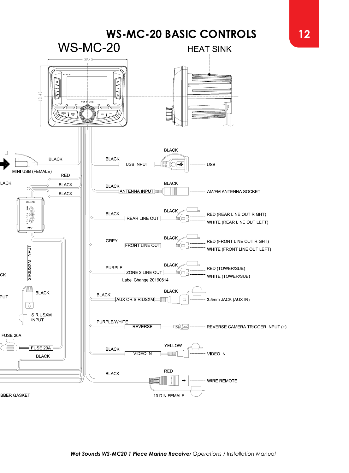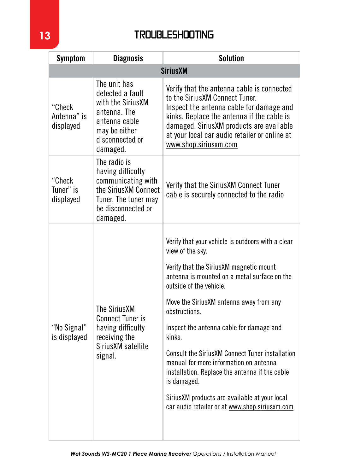## **13** TROUBLESHOOTING

| <b>Symptom</b>                     | <b>Diagnosis</b>                                                                                                                          | <b>Solution</b>                                                                                                                                                                                                                                                                                                                                                                                                                                                                                                                                                                        |  |  |  |
|------------------------------------|-------------------------------------------------------------------------------------------------------------------------------------------|----------------------------------------------------------------------------------------------------------------------------------------------------------------------------------------------------------------------------------------------------------------------------------------------------------------------------------------------------------------------------------------------------------------------------------------------------------------------------------------------------------------------------------------------------------------------------------------|--|--|--|
|                                    | <b>Sirius XM</b>                                                                                                                          |                                                                                                                                                                                                                                                                                                                                                                                                                                                                                                                                                                                        |  |  |  |
| "Check<br>Antenna" is<br>displayed | The unit has<br>detected a fault<br>with the SiriusXM<br>antenna. The<br>antenna cable<br>may be either<br>disconnected or<br>damaged.    | Verify that the antenna cable is connected<br>to the SiriusXM Connect Tuner.<br>Inspect the antenna cable for damage and<br>kinks. Replace the antenna if the cable is<br>damaged. SiriusXM products are available<br>at your local car audio retailer or online at<br>www.shop.siriusxm.com                                                                                                                                                                                                                                                                                           |  |  |  |
| "Check<br>Tuner" is<br>displayed   | The radio is<br>having difficulty<br>communicating with<br>the SiriusXM Connect<br>Tuner. The tuner may<br>be disconnected or<br>damaged. | Verify that the SiriusXM Connect Tuner<br>cable is securely connected to the radio                                                                                                                                                                                                                                                                                                                                                                                                                                                                                                     |  |  |  |
| "No Signal"<br>is displayed        | The Sirius XM<br><b>Connect Tuner is</b><br>having difficulty<br>receiving the<br>SiriusXM satellite<br>signal.                           | Verify that your vehicle is outdoors with a clear<br>view of the sky.<br>Verify that the SiriusXM magnetic mount<br>antenna is mounted on a metal surface on the<br>outside of the vehicle.<br>Move the SiriusXM antenna away from any<br>obstructions.<br>Inspect the antenna cable for damage and<br>kinks.<br><b>Consult the SiriusXM Connect Tuner installation</b><br>manual for more information on antenna<br>installation. Replace the antenna if the cable<br>is damaged.<br>Sirius XM products are available at your local<br>car audio retailer or at www.shop.siriusxm.com |  |  |  |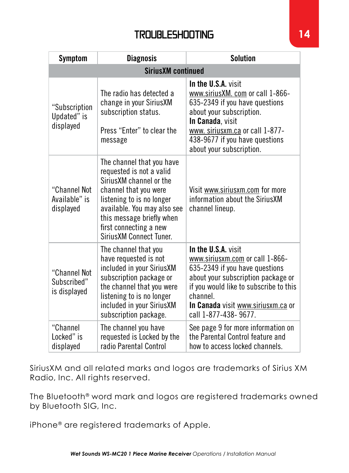## TROUBLESHOOTING **14**

| Symptom                                     | <b>Diagnosis</b>                                                                                                                                                                                                                                         | <b>Solution</b>                                                                                                                                                                                                                                    |  |  |  |
|---------------------------------------------|----------------------------------------------------------------------------------------------------------------------------------------------------------------------------------------------------------------------------------------------------------|----------------------------------------------------------------------------------------------------------------------------------------------------------------------------------------------------------------------------------------------------|--|--|--|
| <b>SiriusXM continued</b>                   |                                                                                                                                                                                                                                                          |                                                                                                                                                                                                                                                    |  |  |  |
| "Subscription<br>Updated" is<br>displayed   | The radio has defected a<br>change in your Sirius XM<br>subscription status.<br>Press "Enter" to clear the<br>message                                                                                                                                    | In the U.S.A. visit<br>www.siriusXM. com or call 1-866-<br>635-2349 if you have questions<br>about your subscription.<br>In Canada, visit<br>www. siriusxm.ca or call 1-877-<br>438-9677 if you have questions<br>about your subscription.         |  |  |  |
| "Channel Not<br>Available" is<br>displayed  | The channel that you have<br>requested is not a valid<br>SiriusXM channel or the<br>channel that you were<br>listening to is no longer<br>available. You may also see<br>this message briefly when<br>first connecting a new<br>Sirius XM Connect Tuner. | Visit www.siriusxm.com for more<br>information about the Sirius XM<br>channel lineup.                                                                                                                                                              |  |  |  |
| "Channel Not<br>Subscribed"<br>is displayed | The channel that you<br>have requested is not<br>included in your SiriusXM<br>subscription package or<br>the channel that you were<br>listening to is no longer<br>included in your SiriusXM<br>subscription package.                                    | In the U.S.A. visit<br>www.siriusxm.com or call 1-866-<br>635-2349 if you have questions<br>about your subscription package or<br>if you would like to subscribe to this<br>channel.<br>In Canada visit www.siriusxm.ca or<br>call 1-877-438-9677. |  |  |  |
| "Channel<br>Locked" is<br>displayed         | The channel you have<br>requested is Locked by the<br>radio Parental Control                                                                                                                                                                             | See page 9 for more information on<br>the Parental Control feature and<br>how to access locked channels.                                                                                                                                           |  |  |  |

SiriusXM and all related marks and logos are trademarks of Sirius XM Radio, Inc. All rights reserved.

The Bluetooth® word mark and logos are registered trademarks owned by Bluetooth SIG, Inc.

iPhone® are registered trademarks of Apple.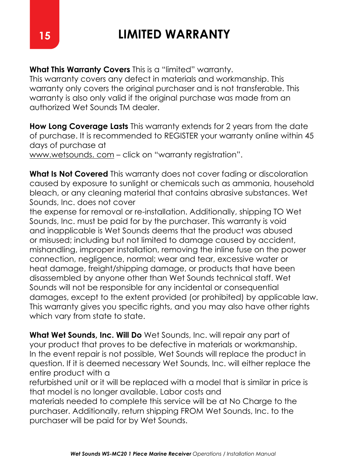# **15 LIMITED WARRANTY**

**What This Warranty Covers** This is a "limited" warranty.

This warranty covers any defect in materials and workmanship. This warranty only covers the original purchaser and is not transferable. This warranty is also only valid if the original purchase was made from an authorized Wet Sounds TM dealer.

**How Long Coverage Lasts** This warranty extends for 2 years from the date of purchase. It is recommended to REGISTER your warranty online within 45 days of purchase at

www.wetsounds. com – click on "warranty registration".

**What Is Not Covered** This warranty does not cover fading or discoloration caused by exposure to sunlight or chemicals such as ammonia, household bleach, or any cleaning material that contains abrasive substances. Wet Sounds, Inc. does not cover

the expense for removal or re-installation. Additionally, shipping TO Wet Sounds, Inc. must be paid for by the purchaser. This warranty is void and inapplicable is Wet Sounds deems that the product was abused or misused; including but not limited to damage caused by accident, mishandling, improper installation, removing the inline fuse on the power connection, negligence, normal; wear and tear, excessive water or heat damage, freight/shipping damage, or products that have been disassembled by anyone other than Wet Sounds technical staff. Wet Sounds will not be responsible for any incidental or consequential damages, except to the extent provided (or prohibited) by applicable law. This warranty gives you specific rights, and you may also have other rights which vary from state to state.

**What Wet Sounds, Inc. Will Do** Wet Sounds, Inc. will repair any part of your product that proves to be defective in materials or workmanship. In the event repair is not possible, Wet Sounds will replace the product in question. If it is deemed necessary Wet Sounds, Inc. will either replace the entire product with a

refurbished unit or it will be replaced with a model that is similar in price is that model is no longer available. Labor costs and

materials needed to complete this service will be at No Charge to the purchaser. Additionally, return shipping FROM Wet Sounds, Inc. to the purchaser will be paid for by Wet Sounds.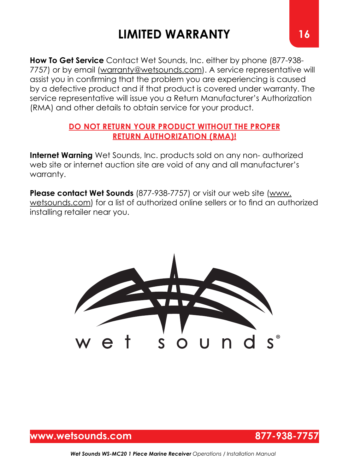# **LIMITED WARRANTY 16**

**How To Get Service** Contact Wet Sounds, Inc. either by phone (877-938- 7757) or by email (warranty@wetsounds.com). A service representative will assist you in confirming that the problem you are experiencing is caused by a defective product and if that product is covered under warranty. The service representative will issue you a Return Manufacturer's Authorization (RMA) and other details to obtain service for your product.

#### **DO NOT RETURN YOUR PRODUCT WITHOUT THE PROPER RETURN AUTHORIZATION (RMA)!**

**Internet Warning** Wet Sounds, Inc. products sold on any non- authorized web site or internet auction site are void of any and all manufacturer's warranty.

**Please contact Wet Sounds** (877-938-7757) or visit our web site (www. wetsounds.com) for a list of authorized online sellers or to find an authorized installing retailer near you.



## **www.wetsounds.com 877-938-7757**



*Wet Sounds WS-MC20 1 Piece Marine Receiver Operations / Installation Manual*